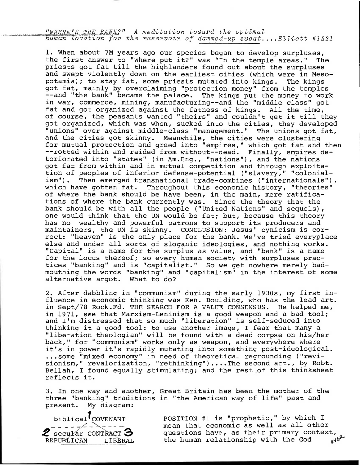human location for the reservoir of dammed-up sweat....Elliott #1221 *iszig\_iszya* BANK?" A meditation toward the optimaZ

1. When about 7M years ago our species began to develop surpluses, the first answer to "Where put it?" was "In the temple areas." The priests got fat till the highlanders found out about the surpluses and swept violently down on the earliest cities (which were in Mesopotamia); to stay fat, some priests mutated into kings. The kings got fat, mainly by overclaiming "protection money" from the temples --and "the bank" became the palace. The kings put the money to work in war, commerce, mining, manufacturing--and the "middle class" got fat and got organized against the fatness of kings. All the time, of course, the peasants wanted "theirs" and couldn't get it till they got organized, which was when, sucked into the cities, they developed "unions" over against middle-class "management." The unions got fat, and the cities got skinny. Meanwhile, the cities were clustering for mutual protection and greed into "empires," which got fat and then --rotted within and raided from without--dead. Finally, empires deteriorated into "states" (in Am.Eng., "nations"), and the nations got fat from within and in mutual competition and through exploitation of peoples of inferior defense-potential ("slavery," "colonialism"). Then emerged transnational trade-combines ("internationals"), which have gotten fat. Throughout this economic history, "theories" of where the bank should be have been, in the main, mere ratifications of where the bank currently was. Since the theory that the bank should be with all the people ("United Nations" and sequels), one would think that the UN would be fat; but, because this theory has no wealthy and powerful patrons to support its producers and maintainers, the UN is skinny. CONCLUSION: Jesus' cynicism is correct: "heaven" is the only place for the bank. We've tried everyplace else and under all sorts of sloganic ideologies, and nothing works. "Capital" is a name for the surplus as value, and "bank" is a name for the locus thereof; so every human society with surpluses practices "banking" and is "capitalist." So we get nowhere merely badmouthing the words "banking" and "capitalism" in the interest of some alternative argot. What to do?

2. After dabbling in "communism" during the early 1930s, my first influence in economic thinking was Ken. Boulding, who has the lead art. in Sept/78 Rock.Fd. THE SEARCH FOR A VALUE CONSENSUS. He helped me, in 1971, see that Marxism-Leninism is a good weapon and a bad tool; and I'm distressed that so much "liberation" is self-seduced into thinking it a good tool: to use another image, I fear that many a "liberation theologian" will be found with a dead corpse on his/her back," for "communism" works only as weapon, and everywhere where it's in power it's rapidly mutating into something post-ideological. ...some "mixed economy" in need of theoretical regrounding ("revisionism," revalorization, "rethinking")....The second art., by Robt. Bellah, I found equally stimulating; and the rest of this thinksheet reflects it.

3. In one way and another, Great Britain has been the mother of the three "banking" traditions in "the American way of life" past and present. My diagram:

biblical<sup>I</sup>COVENANT **2** secular CONTRACT  $\mathcal{S}$ <br>REPUBLICAN LIBERAL REPUBLICAN

POSITION #1 is "prophetic," by which I mean that economic as well as all other questions have, as their primary context, the human relationship with the God